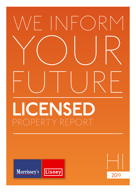

# **LICENSED** PROPERTY REPORT



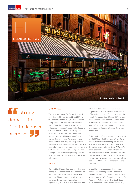

**INDUSTRIAL Strong** demand for Dublin licensed premises 3

### **OVERVIEW**

The strong demand for Dublin licensed premises in 2018 continued into 2019. In the first half of the year, six transactions completed. This number of sales does not reflect the demand present but is reflective of the continued limited supply, which is about half the levels expected. However, it is notable that the value of transactions in H1 2019 was significantly higher than last year. Purchasers have remained focused on prime city tourist hubs and affluent suburban areas. There is secondary demand for suburban properties with favourable land use zoning objectives. Such pubs have redevelopment potential to accommodate residential or mixed-use schemes.

# ACTIVITY

Demand for Dublin licensed premises was strong in the first half of 2019. In terms of the number of transactions, there were six sales. This is a similar level to last year, however the combined value increased significantly; €25m in H1 2019 compared to

€9m in H1 2018. This increase in value is largely attributed to the off-market sale of Bruxelles on Harry Street, which sold in March for a reported €9.2m. Off-market sales such as Bruxelles are of significant interest to the market. Given the lack of sales of prime pubs in recent years, they give a good indication of current market conditions.

Other high profile, prime city centre sales in H1 2019 included Davy Byrne's on Duke Street, reportedly achieving €4.5m and 10 Stephens Green for a reported €4.2m. Suburban sales included Rosie O'Grady's premises in Harolds Cross, which was sold off-market but for alternate use; The Homestead on Quarry Road in Cabra, which completed by way of a lease with purchase option; and the sale of Shanahan's in the Coombe.

In addition to these sales, there were several prominent pubs sale agreed at the end of June, which bodes well for the second half of 2019. Examples included The Kestrel in Walkinstown; The Cat & Cage in Drumcondra; Quinn's in Drumcondra;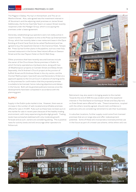# Morrissey's **Lisney LICENSED PREMISES H1 2019**

The Magpie in Dalkey; Murray's in Kilmainham; and The Jar on Wexford Street. Also, sale agreed was the investment interest in JK Stoutman's and the adjoining retail premises on James Street. Additionally, the former East Side Tavern on Leeson Street recently reopened under the Madigan Group, which is occupying the premises under a lease agreement.

Generally, established group operators were not visibly active in recent months. The exception to this is the Press Up Entertainment Group, which has recently taken a new restaurant lease in the Opus Building at Grand Canal Dock (to be called MacKenzie's) and has agreed to buy the leasehold interest in the Clarence Hotel, Temple Bar. Press Up has further plans in the pipeline, such as a new fully licensed restaurant in the former New Ireland offices on Dawson Street and the new Mayson Hotel on North Wall Quay.

Other promotors that have recently secured licences include the owner of the Churchtown Stores premises in Dublin 14, which formerly operated as a hardware store, along with two JD Weatherspoon projects on Camden Street and Abbey Street. Separately, the St Andrew's Church project at the junction of Suffolk Street and St Andrews Street in the city centre, and the Clontarf Baths project, have both secured Declaratory Orders (i.e. applicant applies to the Circuit Court in advance of starting works on the premises for confirmation that the proposed premises is suitable to be licensed, hence reducing objections and delays in the future). Both will be granted publicans licences once the developments have been completed in accordance with the planning grant.

### SUPPLY

Supply in the Dublin pubs market is low. However, there was an increase in the number of well-located and profitable premises offered for sale in H1 2019. Pubs such as these have not been put on the market for sale in recent years because of the healthy trading environment, with many experiencing double digit growth. Trading levels have somewhat stabilised with only moderate growth forecast and as such, owners are considering selling. This is positive news for activity levels and will encourage other operators to follow suit.



Retirement may also assist in bringing assets to the market. Towards the end of 2018 this was evident when the leasehold interest in The Old Stand on Exchequer Street and Davy Byrne's on Duke Street were offered for sale. These transactions, coupled with the others recently agreed, should instil confidence in publicans who are considering retirement to sell their businesses.

In suburban locations, further supply could come from licensed premises that are on large sites and offer redevelopment potential. Some of these will incorporate a licensed premise use in the future as part of a mixed-use scheme, while others will not.